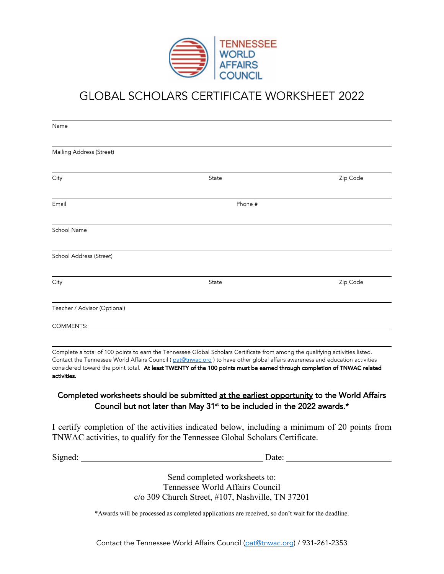

# GLOBAL SCHOLARS CERTIFICATE WORKSHEET 2022

| Name                         |                                                                                                                                                                                                                                                                                                                                                                                         |                                                                                                                                                                                                                                      |
|------------------------------|-----------------------------------------------------------------------------------------------------------------------------------------------------------------------------------------------------------------------------------------------------------------------------------------------------------------------------------------------------------------------------------------|--------------------------------------------------------------------------------------------------------------------------------------------------------------------------------------------------------------------------------------|
| Mailing Address (Street)     |                                                                                                                                                                                                                                                                                                                                                                                         |                                                                                                                                                                                                                                      |
| City                         | State                                                                                                                                                                                                                                                                                                                                                                                   | Zip Code                                                                                                                                                                                                                             |
| Email                        | Phone #                                                                                                                                                                                                                                                                                                                                                                                 |                                                                                                                                                                                                                                      |
| School Name                  |                                                                                                                                                                                                                                                                                                                                                                                         |                                                                                                                                                                                                                                      |
| School Address (Street)      |                                                                                                                                                                                                                                                                                                                                                                                         |                                                                                                                                                                                                                                      |
| City                         | State                                                                                                                                                                                                                                                                                                                                                                                   | Zip Code                                                                                                                                                                                                                             |
| Teacher / Advisor (Optional) |                                                                                                                                                                                                                                                                                                                                                                                         |                                                                                                                                                                                                                                      |
| COMMENTS:                    |                                                                                                                                                                                                                                                                                                                                                                                         |                                                                                                                                                                                                                                      |
| activities.                  | Complete a total of 100 points to earn the Tennessee Global Scholars Certificate from among the qualifying activities listed.<br>Contact the Tennessee World Affairs Council (pat@tnwac.org) to have other global affairs awareness and education activities<br>considered toward the point total. At least TWENTY of the 100 points must be earned through completion of TNWAC related |                                                                                                                                                                                                                                      |
|                              | Completed worksheets should be submitted at the earliest opportunity to the World Affairs<br>Council but not later than May 31 <sup>st</sup> to be included in the 2022 awards.*                                                                                                                                                                                                        |                                                                                                                                                                                                                                      |
|                              | I certify completion of the activities indicated below, including a minimum of 20 points from<br>TNWAC activities, to qualify for the Tennessee Global Scholars Certificate.                                                                                                                                                                                                            |                                                                                                                                                                                                                                      |
|                              |                                                                                                                                                                                                                                                                                                                                                                                         | Date: <u>and the set of the set of the set of the set of the set of the set of the set of the set of the set of the set of the set of the set of the set of the set of the set of the set of the set of the set of the set of th</u> |
|                              | Send completed worksheets to:<br>Tennessee World Affairs Council<br>c/o 309 Church Street, #107, Nashville, TN 37201                                                                                                                                                                                                                                                                    |                                                                                                                                                                                                                                      |
|                              | *Awards will be processed as completed applications are received, so don't wait for the deadline.                                                                                                                                                                                                                                                                                       |                                                                                                                                                                                                                                      |

Contact the Tennessee World Affairs Council (pat@tnwac.org) / 931-261-2353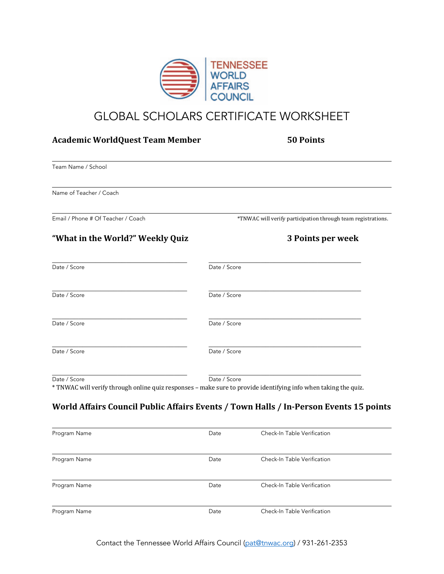

## GLOBAL SCHOLARS CERTIFICATE WORKSHEET

| <b>Academic WorldQuest Team Member</b> | <b>50 Points</b>                                                                                                |
|----------------------------------------|-----------------------------------------------------------------------------------------------------------------|
| Team Name / School                     |                                                                                                                 |
| Name of Teacher / Coach                |                                                                                                                 |
| Email / Phone # Of Teacher / Coach     | *TNWAC will verify participation through team registrations.                                                    |
| "What in the World?" Weekly Quiz       | 3 Points per week                                                                                               |
| Date / Score                           | Date / Score                                                                                                    |
| Date / Score                           | Date / Score                                                                                                    |
| Date / Score                           | Date / Score                                                                                                    |
| Date / Score                           | Date / Score                                                                                                    |
|                                        | Date / Score                                                                                                    |
| Date / Score                           | * TNWAC will verify through online quiz responses - make sure to provide identifying info when taking the quiz. |

## World Affairs Council Public Affairs Events / Town Halls / In-Person Events 15 points

| Program Name | Date | Check-In Table Verification |
|--------------|------|-----------------------------|
| Program Name | Date | Check-In Table Verification |
| Program Name | Date | Check-In Table Verification |
| Program Name | Date | Check-In Table Verification |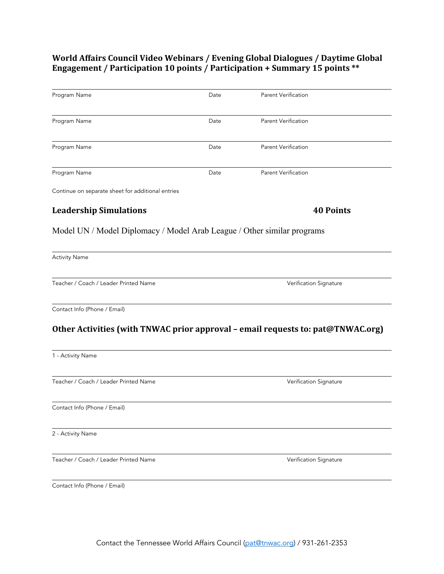## World Affairs Council Video Webinars / Evening Global Dialogues / Daytime Global **Engagement** / Participation 10 points / Participation + Summary 15 points \*\*

| Program Name                                                                                                                                             | Date | <b>Parent Verification</b>                                                      |
|----------------------------------------------------------------------------------------------------------------------------------------------------------|------|---------------------------------------------------------------------------------|
| Program Name                                                                                                                                             | Date | <b>Parent Verification</b>                                                      |
| Program Name                                                                                                                                             | Date | <b>Parent Verification</b>                                                      |
| Program Name                                                                                                                                             | Date | <b>Parent Verification</b>                                                      |
| Continue on separate sheet for additional entries                                                                                                        |      |                                                                                 |
| <b>Leadership Simulations</b>                                                                                                                            |      | <b>40 Points</b>                                                                |
| Model UN / Model Diplomacy / Model Arab League / Other similar programs                                                                                  |      |                                                                                 |
| <b>Activity Name</b>                                                                                                                                     |      |                                                                                 |
|                                                                                                                                                          |      |                                                                                 |
|                                                                                                                                                          |      | Verification Signature                                                          |
| Teacher / Coach / Leader Printed Name<br>Contact Info (Phone / Email)                                                                                    |      |                                                                                 |
|                                                                                                                                                          |      | Other Activities (with TNWAC prior approval - email requests to: pat@TNWAC.org) |
|                                                                                                                                                          |      |                                                                                 |
|                                                                                                                                                          |      | Verification Signature                                                          |
|                                                                                                                                                          |      |                                                                                 |
|                                                                                                                                                          |      |                                                                                 |
| 1 - Activity Name<br>Teacher / Coach / Leader Printed Name<br>Contact Info (Phone / Email)<br>2 - Activity Name<br>Teacher / Coach / Leader Printed Name |      | Verification Signature                                                          |